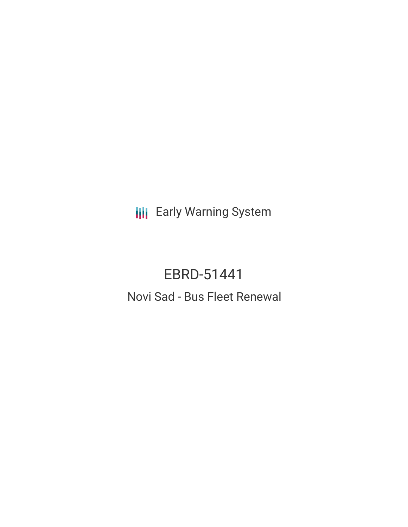**III** Early Warning System

# EBRD-51441

# Novi Sad - Bus Fleet Renewal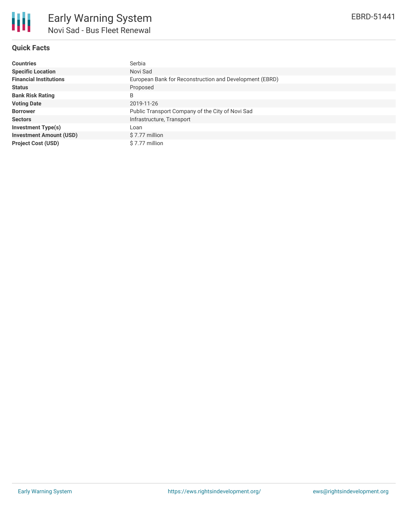## **Quick Facts**

| <b>Countries</b>               | Serbia                                                  |
|--------------------------------|---------------------------------------------------------|
| <b>Specific Location</b>       | Novi Sad                                                |
| <b>Financial Institutions</b>  | European Bank for Reconstruction and Development (EBRD) |
| <b>Status</b>                  | Proposed                                                |
| <b>Bank Risk Rating</b>        | B                                                       |
| <b>Voting Date</b>             | 2019-11-26                                              |
| <b>Borrower</b>                | Public Transport Company of the City of Novi Sad        |
| <b>Sectors</b>                 | Infrastructure, Transport                               |
| <b>Investment Type(s)</b>      | Loan                                                    |
| <b>Investment Amount (USD)</b> | \$7.77 million                                          |
| <b>Project Cost (USD)</b>      | \$7.77 million                                          |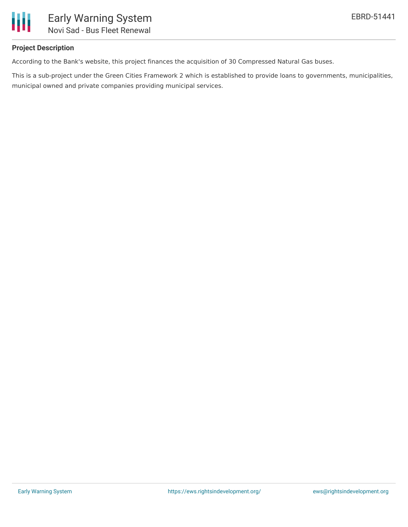

### **Project Description**

According to the Bank's website, this project finances the acquisition of 30 Compressed Natural Gas buses.

This is a sub-project under the Green Cities Framework 2 which is established to provide loans to governments, municipalities, municipal owned and private companies providing municipal services.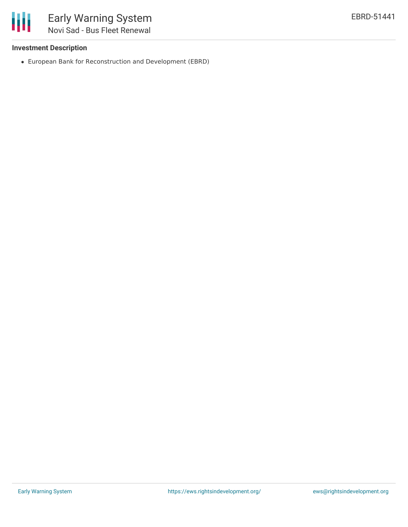

#### **Investment Description**

European Bank for Reconstruction and Development (EBRD)